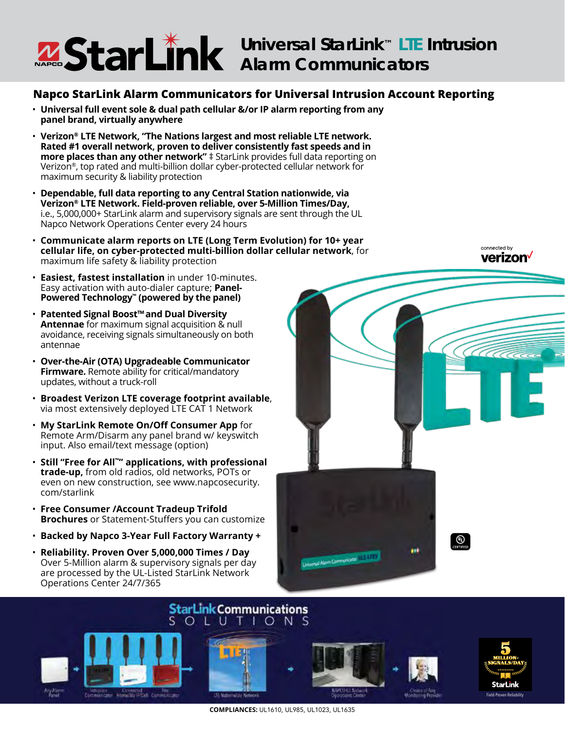## **Universal StarLink™ LTE Intrusion Alarm Communicators**

### **Napco StarLink Alarm Communicators for Universal Intrusion Account Reporting**

- **Universal full event sole & dual path cellular &/or IP alarm reporting from any panel brand, virtually anywhere**
- **Verizon® LTE Network, "The Nations largest and most reliable LTE network. Rated #1 overall network, proven to deliver consistently fast speeds and in more places than any other network"**  $\ddagger$  StarLink provides full data reporting on Verizon®, top rated and multi-billion dollar cyber-protected cellular network for maximum security & liability protection
- **Dependable, full data reporting to any Central Station nationwide, via Verizon® LTE Network. Field-proven reliable, over 5-Million Times/Day,**  i.e., 5,000,000+ StarLink alarm and supervisory signals are sent through the UL Napco Network Operations Center every 24 hours
- **Communicate alarm reports on LTE (Long Term Evolution) for 10+ year cellular life, on cyber-protected multi-billion dollar cellular network**, for maximum life safety & liability protection
- **Easiest, fastest installation** in under 10-minutes. Easy activation with auto-dialer capture; **Panel-Powered Technology™ (powered by the panel)**
- **Patented Signal Boost™and Dual Diversity Antennae** for maximum signal acquisition & null avoidance, receiving signals simultaneously on both antennae
- **Over-the-Air (OTA) Upgradeable Communicator Firmware.** Remote ability for critical/mandatory updates, without a truck-roll
- **Broadest Verizon LTE coverage footprint available**, via most extensively deployed LTE CAT 1 Network
- **My StarLink Remote On/Off Consumer App** for Remote Arm/Disarm any panel brand w/ keyswitch input. Also email/text message (option)
- **Still "Free for All™" applications, with professional trade-up,** from old radios, old networks, POTs or even on new construction, see www.napcosecurity. com/starlink
- **Free Consumer /Account Tradeup Trifold Brochures** or Statement-Stuffers you can customize
- **Backed by Napco 3-Year Full Factory Warranty +**
- **Reliability. Proven Over 5,000,000 Times / Day** Over 5-Million alarm & supervisory signals per day are processed by the UL-Listed StarLink Network Operations Center 24/7/365



connected by



**COMPLIANCES:** UL1610, UL985, UL1023, UL1635